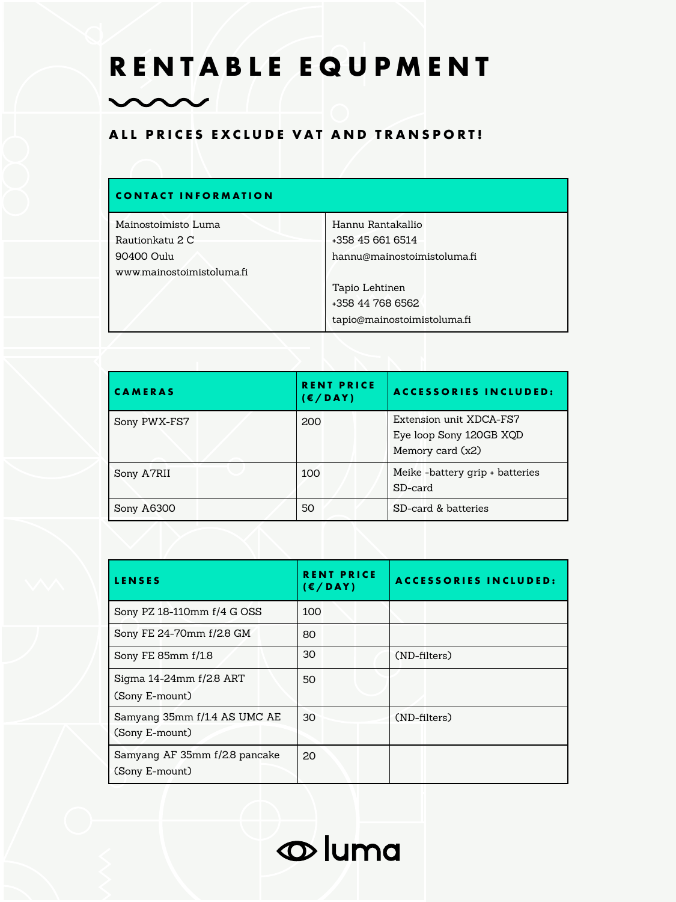## **RENTABLE EQUPMENT**

## **ALL PRICES EXCLUDE VAT AND TRANSPORT!**

 $\sim$ 

| <b>CONTACT INFORMATION</b> |                             |
|----------------------------|-----------------------------|
| Mainostoimisto Luma        | Hannu Rantakallio           |
| Rautionkatu 2 C            | +358 45 661 6514            |
| 90400 Oulu                 | hannu@mainostoimistoluma.fi |
| www.mainostoimistoluma.fi  |                             |
|                            | Tapio Lehtinen              |
|                            | +358 44 768 6562            |
|                            | tapio@mainostoimistoluma.fi |

| <b>CAMERAS</b> | <b>RENT PRICE</b><br>(E/DAY) | <b>ACCESSORIES INCLUDED:</b>                                           |
|----------------|------------------------------|------------------------------------------------------------------------|
| Sony PWX-FS7   | 200                          | Extension unit XDCA-FS7<br>Eye loop Sony 120GB XQD<br>Memory card (x2) |
| Sony A7RII     | 100                          | Meike-battery grip + batteries<br>SD-card                              |
| Sony A6300     | 50                           | SD-card & batteries                                                    |

| <b>LENSES</b>                                   | <b>RENT PRICE</b><br>$(\epsilon/DAY)$ | <b>ACCESSORIES INCLUDED:</b> |
|-------------------------------------------------|---------------------------------------|------------------------------|
| Sony PZ 18-110mm f/4 G OSS                      | 100                                   |                              |
| Sony FE 24-70mm f/2.8 GM                        | 80                                    |                              |
| Sony FE 85mm f/1.8                              | 30                                    | (ND-filters)                 |
| Sigma 14-24mm f/2.8 ART<br>(Sony E-mount)       | 50                                    |                              |
| Samyang 35mm f/1.4 AS UMC AE<br>(Sony E-mount)  | 30                                    | (ND-filters)                 |
|                                                 |                                       |                              |
| Samyang AF 35mm f/2.8 pancake<br>(Sony E-mount) | 20                                    |                              |

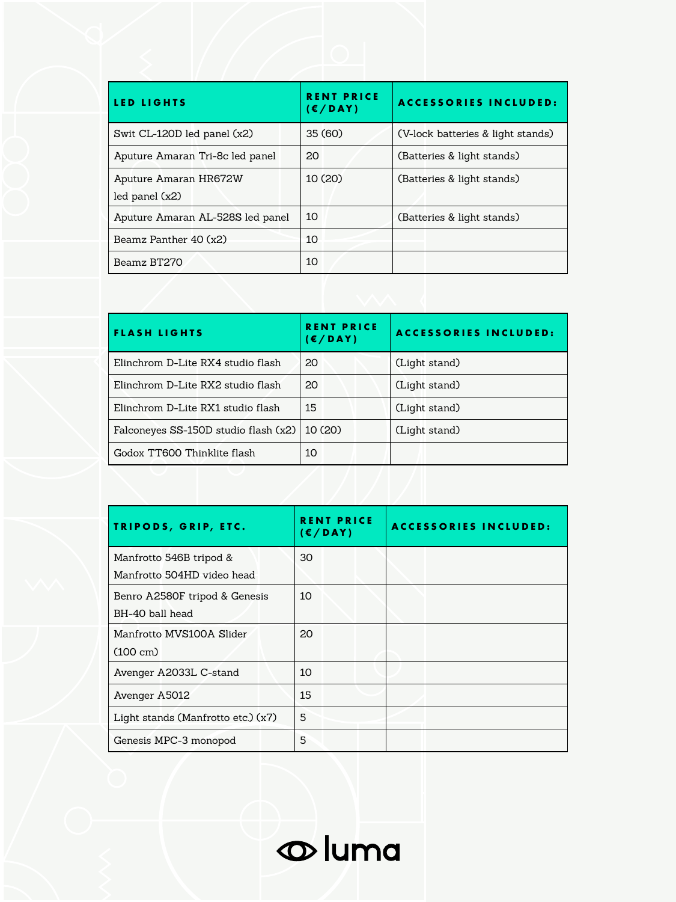| <b>LED LIGHTS</b>                | <b>RENT PRICE</b><br>(E/DAY) | <b>ACCESSORIES INCLUDED:</b>      |
|----------------------------------|------------------------------|-----------------------------------|
| Swit CL-120D led panel (x2)      | 35 (60)                      | (V-lock batteries & light stands) |
| Aputure Amaran Tri-8c led panel  | 20                           | (Batteries & light stands)        |
| Aputure Amaran HR672W            | 10(20)                       | (Batteries & light stands)        |
| led panel $(x2)$                 |                              |                                   |
| Aputure Amaran AL-528S led panel | 10                           | (Batteries & light stands)        |
| Beamz Panther 40 (x2)            | 10                           |                                   |
| Beamz BT270                      | 10                           |                                   |

| <b>FLASH LIGHTS</b>                  | <b>RENT PRICE</b><br>(E/DAY) | <b>ACCESSORIES INCLUDED:</b> |
|--------------------------------------|------------------------------|------------------------------|
| Elinchrom D-Lite RX4 studio flash    | 20                           | (Light stand)                |
| Elinchrom D-Lite RX2 studio flash    | 20                           | (Light stand)                |
| Elinchrom D-Lite RX1 studio flash    | 15                           | (Light stand)                |
| Falconeyes SS-150D studio flash (x2) | 10(20)                       | (Light stand)                |
| Godox TT600 Thinklite flash          | 10                           |                              |

| TRIPODS, GRIP, ETC.                | <b>RENT PRICE</b><br>(E/DAY) | <b>ACCESSORIES INCLUDED:</b> |
|------------------------------------|------------------------------|------------------------------|
| Manfrotto 546B tripod &            | 30                           |                              |
| Manfrotto 504HD video head         |                              |                              |
| Benro A2580F tripod & Genesis      | 10                           |                              |
| BH-40 ball head                    |                              |                              |
| Manfrotto MVS100A Slider           | 20                           |                              |
| $(100 \text{ cm})$                 |                              |                              |
| Avenger A2033L C-stand             | 10                           |                              |
| Avenger A5012                      | 15                           |                              |
| Light stands (Manfrotto etc.) (x7) | 5                            |                              |
| Genesis MPC-3 monopod              | 5                            |                              |